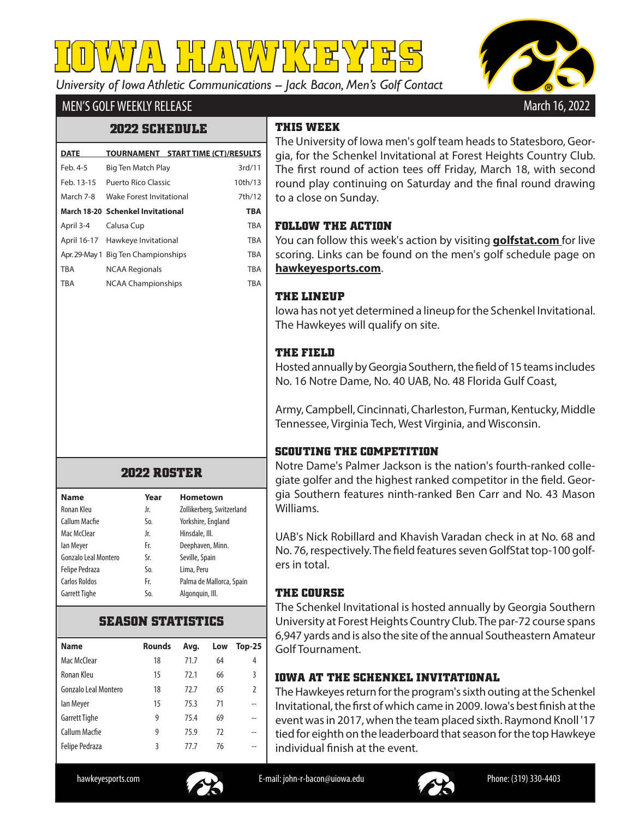*University of Iowa Athletic Communications -- Jack Bacon, Men's Golf Contact* **IOWA HAWKEYES**



# MEN'S GOLF WEEKLY RELEASE

### **2022 SCHEDULE**

| <b>DATE</b> | TOURNAMENT START TIME (CT)/RESULTS  |  |            |
|-------------|-------------------------------------|--|------------|
| Feb. 4-5    | Big Ten Match Play                  |  | 3rd/11     |
| Feb. 13-15  | Puerto Rico Classic                 |  | 10th/13    |
| March 7-8   | Wake Forest Invitational            |  | 7th/12     |
|             | March 18-20 Schenkel Invitational   |  | <b>TBA</b> |
| April 3-4   | Calusa Cup                          |  | <b>TBA</b> |
|             | April 16-17 Hawkeye Invitational    |  | <b>TBA</b> |
|             | Apr. 29-May 1 Big Ten Championships |  | <b>TBA</b> |
| <b>TBA</b>  | <b>NCAA Regionals</b>               |  | <b>TBA</b> |
| <b>TBA</b>  | <b>NCAA Championships</b>           |  | <b>TBA</b> |
|             |                                     |  |            |

### **2022 ROSTER**

| <b>Name</b>           | Year | <b>Hometown</b>           |
|-----------------------|------|---------------------------|
| Ronan Kleu            | Jr.  | Zollikerberg, Switzerland |
| Callum Macfie         | So.  | Yorkshire, England        |
| Mac McClear           | Jr.  | Hinsdale, III.            |
| lan Meyer             | Fr.  | Deephaven, Minn.          |
| Gonzalo Leal Montero  | Sr.  | Seville, Spain            |
| <b>Felipe Pedraza</b> | So.  | Lima, Peru                |
| Carlos Roldos         | Fr.  | Palma de Mallorca, Spain  |
| <b>Garrett Tighe</b>  | So.  | Algonguin, Ill.           |

### **SEASON STATISTICS**

| <b>Name</b>           | <b>Rounds</b> | Avg. | Low | $Top-25$      |
|-----------------------|---------------|------|-----|---------------|
| Mac McClear           | 18            | 71.7 | 64  | 4             |
| Ronan Kleu            | 15            | 72.1 | 66  | 3             |
| Gonzalo Leal Montero  | 18            | 72.7 | 65  | $\mathfrak z$ |
| lan Meyer             | 15            | 75.3 | 71  |               |
| Garrett Tighe         | 9             | 75.4 | 69  |               |
| Callum Macfie         | 9             | 75.9 | 72  |               |
| <b>Felipe Pedraza</b> | 3             | 77 7 | 76  |               |
|                       |               |      |     |               |

# **THIS WEEK**

The University of Iowa men's golf team heads to Statesboro, Georgia, for the Schenkel Invitational at Forest Heights Country Club. The first round of action tees off Friday, March 18, with second round play continuing on Saturday and the final round drawing to a close on Sunday.

#### **FOLLOW THE ACTION**

You can follow this week's action by visiting **golfstat.com** for live scoring. Links can be found on the men's golf schedule page on **hawkeyesports.com**.

### **THE LINEUP**

Iowa has not yet determined a lineup for the Schenkel Invitational. The Hawkeyes will qualify on site.

# **THE FIELD**

Hosted annually by Georgia Southern, the field of 15 teams includes No. 16 Notre Dame, No. 40 UAB, No. 48 Florida Gulf Coast,

Army, Campbell, Cincinnati, Charleston, Furman, Kentucky, Middle Tennessee, Virginia Tech, West Virginia, and Wisconsin.

# **SCOUTING THE COMPETITION**

Notre Dame's Palmer Jackson is the nation's fourth-ranked collegiate golfer and the highest ranked competitor in the field. Georgia Southern features ninth-ranked Ben Carr and No. 43 Mason Williams.

UAB's Nick Robillard and Khavish Varadan check in at No. 68 and No. 76, respectively. The field features seven GolfStat top-100 golfers in total.

### **THE COURSE**

The Schenkel Invitational is hosted annually by Georgia Southern University at Forest Heights Country Club. The par-72 course spans 6,947 yards and is also the site of the annual Southeastern Amateur Golf Tournament.

# **IOWA AT THE SCHENKEL INVITATIONAL**

The Hawkeyes return for the program's sixth outing at the Schenkel Invitational, the first of which came in 2009. Iowa's best finish at the event was in 2017, when the team placed sixth. Raymond Knoll '17 tied for eighth on the leaderboard that season for the top Hawkeye individual finish at the event.